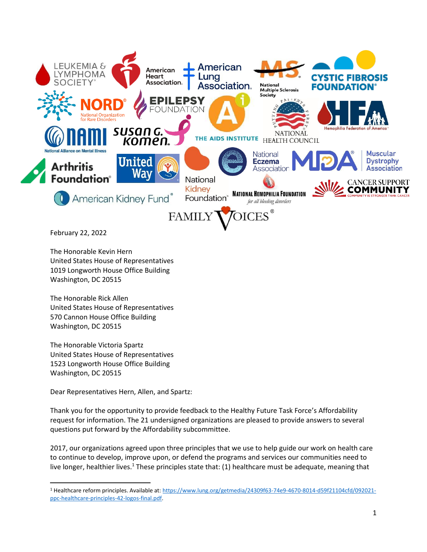

February 22, 2022

The Honorable Kevin Hern United States House of Representatives 1019 Longworth House Office Building Washington, DC 20515

The Honorable Rick Allen United States House of Representatives 570 Cannon House Office Building Washington, DC 20515

The Honorable Victoria Spartz United States House of Representatives 1523 Longworth House Office Building Washington, DC 20515

Dear Representatives Hern, Allen, and Spartz:

Thank you for the opportunity to provide feedback to the Healthy Future Task Force's Affordability request for information. The 21 undersigned organizations are pleased to provide answers to several questions put forward by the Affordability subcommittee.

2017, our organizations agreed upon three principles that we use to help guide our work on health care to continue to develop, improve upon, or defend the programs and services our communities need to live longer, healthier lives.<sup>1</sup> These principles state that: (1) healthcare must be adequate, meaning that

<sup>1</sup> Healthcare reform principles. Available at: [https://www.lung.org/getmedia/24309f63-74e9-4670-8014-d59f21104cfd/092021](https://www.lung.org/getmedia/24309f63-74e9-4670-8014-d59f21104cfd/092021-ppc-healthcare-principles-42-logos-final.pdf) [ppc-healthcare-principles-42-logos-final.pdf.](https://www.lung.org/getmedia/24309f63-74e9-4670-8014-d59f21104cfd/092021-ppc-healthcare-principles-42-logos-final.pdf)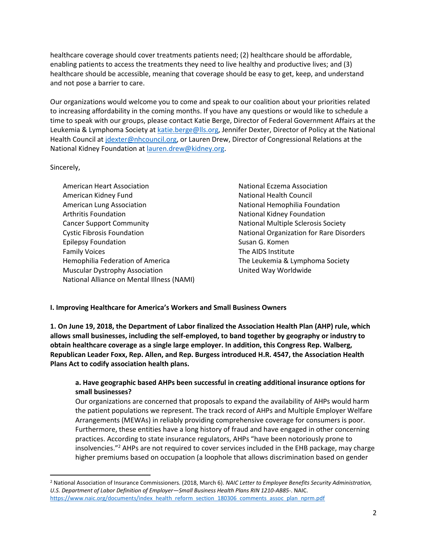healthcare coverage should cover treatments patients need; (2) healthcare should be affordable, enabling patients to access the treatments they need to live healthy and productive lives; and (3) healthcare should be accessible, meaning that coverage should be easy to get, keep, and understand and not pose a barrier to care.

Our organizations would welcome you to come and speak to our coalition about your priorities related to increasing affordability in the coming months. If you have any questions or would like to schedule a time to speak with our groups, please contact Katie Berge, Director of Federal Government Affairs at the Leukemia & Lymphoma Society at [katie.berge@lls.org,](mailto:katie.berge@lls.org) Jennifer Dexter, Director of Policy at the National Health Council at [jdexter@nhcouncil.org,](mailto:jdexter@nhcouncil.org) or Lauren Drew, Director of Congressional Relations at the National Kidney Foundation at [lauren.drew@kidney.org.](mailto:lauren.drew@kidney.org)

### Sincerely,

American Heart Association American Kidney Fund American Lung Association Arthritis Foundation Cancer Support Community Cystic Fibrosis Foundation Epilepsy Foundation Family Voices Hemophilia Federation of America Muscular Dystrophy Association National Alliance on Mental Illness (NAMI)

National Eczema Association National Health Council National Hemophilia Foundation National Kidney Foundation National Multiple Sclerosis Society National Organization for Rare Disorders Susan G. Komen The AIDS Institute The Leukemia & Lymphoma Society United Way Worldwide

### **I. Improving Healthcare for America's Workers and Small Business Owners**

**1. On June 19, 2018, the Department of Labor finalized the Association Health Plan (AHP) rule, which allows small businesses, including the self-employed, to band together by geography or industry to obtain healthcare coverage as a single large employer. In addition, this Congress Rep. Walberg, Republican Leader Foxx, Rep. Allen, and Rep. Burgess introduced H.R. 4547, the Association Health Plans Act to codify association health plans.**

### **a. Have geographic based AHPs been successful in creating additional insurance options for small businesses?**

Our organizations are concerned that proposals to expand the availability of AHPs would harm the patient populations we represent. The track record of AHPs and Multiple Employer Welfare Arrangements (MEWAs) in reliably providing comprehensive coverage for consumers is poor. Furthermore, these entities have a long history of fraud and have engaged in other concerning practices. According to state insurance regulators, AHPs "have been notoriously prone to insolvencies."<sup>2</sup> AHPs are not required to cover services included in the EHB package, may charge higher premiums based on occupation (a loophole that allows discrimination based on gender

<sup>2</sup> National Association of Insurance Commissioners. (2018, March 6). *NAIC Letter to Employee Benefits Security Administration, U.S. Department of Labor Definition of Employer—Small Business Health Plans RIN 1210-AB85-*. NAIC[.](https://www.naic.org/documents/index_health_reform_section_180306_comments_assoc_plan_nprm.pdf) [https://www.naic.org/documents/index\\_health\\_reform\\_section\\_180306\\_comments\\_assoc\\_plan\\_nprm.pdf](https://www.naic.org/documents/index_health_reform_section_180306_comments_assoc_plan_nprm.pdf)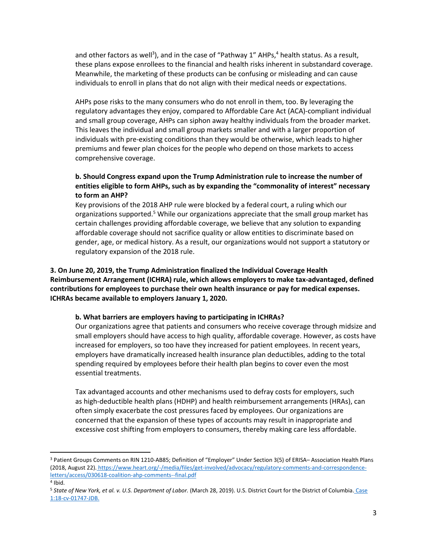and other factors as well<sup>3</sup>), and in the case of "Pathway 1" AHPs,<sup>4</sup> health status. As a result, these plans expose enrollees to the financial and health risks inherent in substandard coverage. Meanwhile, the marketing of these products can be confusing or misleading and can cause individuals to enroll in plans that do not align with their medical needs or expectations.

AHPs pose risks to the many consumers who do not enroll in them, too. By leveraging the regulatory advantages they enjoy, compared to Affordable Care Act (ACA)-compliant individual and small group coverage, AHPs can siphon away healthy individuals from the broader market. This leaves the individual and small group markets smaller and with a larger proportion of individuals with pre-existing conditions than they would be otherwise, which leads to higher premiums and fewer plan choices for the people who depend on those markets to access comprehensive coverage.

## **b. Should Congress expand upon the Trump Administration rule to increase the number of entities eligible to form AHPs, such as by expanding the "commonality of interest" necessary to form an AHP?**

Key provisions of the 2018 AHP rule were blocked by a federal court, a ruling which our organizations supported.<sup>5</sup> While our organizations appreciate that the small group market has certain challenges providing affordable coverage, we believe that any solution to expanding affordable coverage should not sacrifice quality or allow entities to discriminate based on gender, age, or medical history. As a result, our organizations would not support a statutory or regulatory expansion of the 2018 rule.

**3. On June 20, 2019, the Trump Administration finalized the Individual Coverage Health Reimbursement Arrangement (ICHRA) rule, which allows employers to make tax-advantaged, defined contributions for employees to purchase their own health insurance or pay for medical expenses. ICHRAs became available to employers January 1, 2020.**

#### **b. What barriers are employers having to participating in ICHRAs?**

Our organizations agree that patients and consumers who receive coverage through midsize and small employers should have access to high quality, affordable coverage. However, as costs have increased for employers, so too have they increased for patient employees. In recent years, employers have dramatically increased health insurance plan deductibles, adding to the total spending required by employees before their health plan begins to cover even the most essential treatments.

Tax advantaged accounts and other mechanisms used to defray costs for employers, such as high-deductible health plans (HDHP) and health reimbursement arrangements (HRAs), can often simply exacerbate the cost pressures faced by employees. Our organizations are concerned that the expansion of these types of accounts may result in inappropriate and excessive cost shifting from employers to consumers, thereby making care less affordable.

<sup>3</sup> Patient Groups Comments on RIN 1210-AB85; Definition of "Employer" Under Section 3(5) of ERISA– Association Health Plans (2018, August 22). [https://www.heart.org/-/media/files/get-involved/advocacy/regulatory-comments-and-correspondence](https://www.heart.org/-/media/files/get-involved/advocacy/regulatory-comments-and-correspondence-letters/access/030618-coalition-ahp-comments--final.pdf)[letters/access/030618-coalition-ahp-comments--final.pdf](https://www.heart.org/-/media/files/get-involved/advocacy/regulatory-comments-and-correspondence-letters/access/030618-coalition-ahp-comments--final.pdf)

<sup>4</sup> Ibid.

<sup>5</sup> *State of New York, et al. v. U.S. Department of Labor.* (March 28, 2019). U.S. District Court for the District of Columbia. [Case](https://affordablecareactlitigation.files.wordpress.com/2019/03/5940153-0-12659.pdf)  [1:18-cv-01747-JDB.](https://affordablecareactlitigation.files.wordpress.com/2019/03/5940153-0-12659.pdf)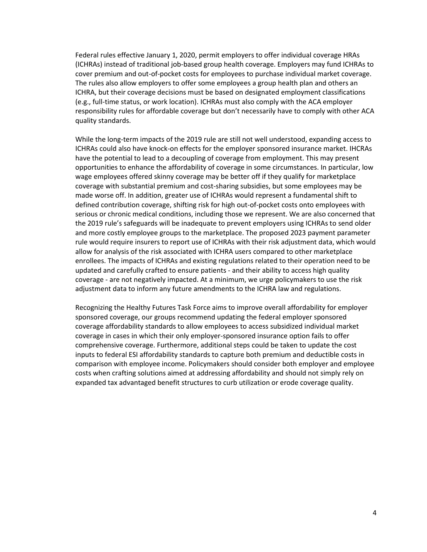Federal rules effective January 1, 2020, permit employers to offer individual coverage HRAs (ICHRAs) instead of traditional job-based group health coverage. Employers may fund ICHRAs to cover premium and out-of-pocket costs for employees to purchase individual market coverage. The rules also allow employers to offer some employees a group health plan and others an ICHRA, but their coverage decisions must be based on designated employment classifications (e.g., full-time status, or work location). ICHRAs must also comply with the ACA employer responsibility rules for affordable coverage but don't necessarily have to comply with other ACA quality standards.

While the long-term impacts of the 2019 rule are still not well understood, expanding access to ICHRAs could also have knock-on effects for the employer sponsored insurance market. IHCRAs have the potential to lead to a decoupling of coverage from employment. This may present opportunities to enhance the affordability of coverage in some circumstances. In particular, low wage employees offered skinny coverage may be better off if they qualify for marketplace coverage with substantial premium and cost-sharing subsidies, but some employees may be made worse off. In addition, greater use of ICHRAs would represent a fundamental shift to defined contribution coverage, shifting risk for high out-of-pocket costs onto employees with serious or chronic medical conditions, including those we represent. We are also concerned that the 2019 rule's safeguards will be inadequate to prevent employers using ICHRAs to send older and more costly employee groups to the marketplace. The proposed 2023 payment parameter rule would require insurers to report use of ICHRAs with their risk adjustment data, which would allow for analysis of the risk associated with ICHRA users compared to other marketplace enrollees. The impacts of ICHRAs and existing regulations related to their operation need to be updated and carefully crafted to ensure patients - and their ability to access high quality coverage - are not negatively impacted. At a minimum, we urge policymakers to use the risk adjustment data to inform any future amendments to the ICHRA law and regulations.

Recognizing the Healthy Futures Task Force aims to improve overall affordability for employer sponsored coverage, our groups recommend updating the federal employer sponsored coverage affordability standards to allow employees to access subsidized individual market coverage in cases in which their only employer-sponsored insurance option fails to offer comprehensive coverage. Furthermore, additional steps could be taken to update the cost inputs to federal ESI affordability standards to capture both premium and deductible costs in comparison with employee income. Policymakers should consider both employer and employee costs when crafting solutions aimed at addressing affordability and should not simply rely on expanded tax advantaged benefit structures to curb utilization or erode coverage quality.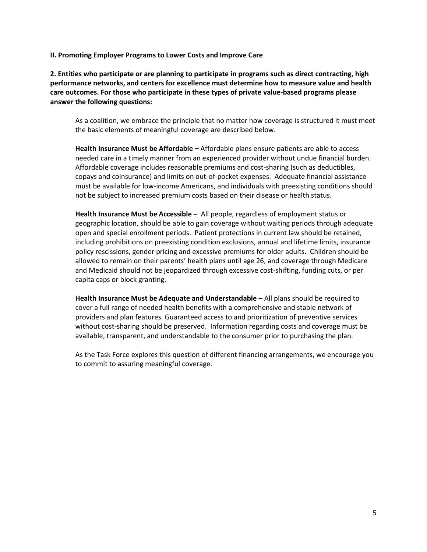**II. Promoting Employer Programs to Lower Costs and Improve Care**

**2. Entities who participate or are planning to participate in programs such as direct contracting, high performance networks, and centers for excellence must determine how to measure value and health care outcomes. For those who participate in these types of private value-based programs please answer the following questions:**

As a coalition, we embrace the principle that no matter how coverage is structured it must meet the basic elements of meaningful coverage are described below.

**Health Insurance Must be Affordable –** Affordable plans ensure patients are able to access needed care in a timely manner from an experienced provider without undue financial burden. Affordable coverage includes reasonable premiums and cost-sharing (such as deductibles, copays and coinsurance) and limits on out-of-pocket expenses. Adequate financial assistance must be available for low-income Americans, and individuals with preexisting conditions should not be subject to increased premium costs based on their disease or health status.

**Health Insurance Must be Accessible –** All people, regardless of employment status or geographic location, should be able to gain coverage without waiting periods through adequate open and special enrollment periods. Patient protections in current law should be retained, including prohibitions on preexisting condition exclusions, annual and lifetime limits, insurance policy rescissions, gender pricing and excessive premiums for older adults. Children should be allowed to remain on their parents' health plans until age 26, and coverage through Medicare and Medicaid should not be jeopardized through excessive cost-shifting, funding cuts, or per capita caps or block granting.

**Health Insurance Must be Adequate and Understandable –** All plans should be required to cover a full range of needed health benefits with a comprehensive and stable network of providers and plan features. Guaranteed access to and prioritization of preventive services without cost-sharing should be preserved. Information regarding costs and coverage must be available, transparent, and understandable to the consumer prior to purchasing the plan.

As the Task Force explores this question of different financing arrangements, we encourage you to commit to assuring meaningful coverage.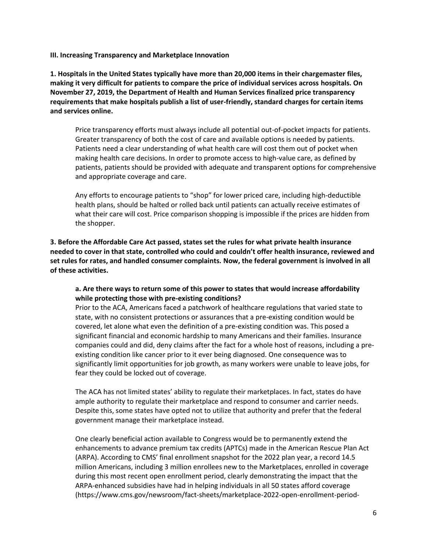**III. Increasing Transparency and Marketplace Innovation**

**1. Hospitals in the United States typically have more than 20,000 items in their chargemaster files, making it very difficult for patients to compare the price of individual services across hospitals. On November 27, 2019, the Department of Health and Human Services finalized price transparency requirements that make hospitals publish a list of user-friendly, standard charges for certain items and services online.**

Price transparency efforts must always include all potential out-of-pocket impacts for patients. Greater transparency of both the cost of care and available options is needed by patients. Patients need a clear understanding of what health care will cost them out of pocket when making health care decisions. In order to promote access to high-value care, as defined by patients, patients should be provided with adequate and transparent options for comprehensive and appropriate coverage and care.

Any efforts to encourage patients to "shop" for lower priced care, including high-deductible health plans, should be halted or rolled back until patients can actually receive estimates of what their care will cost. Price comparison shopping is impossible if the prices are hidden from the shopper.

**3. Before the Affordable Care Act passed, states set the rules for what private health insurance needed to cover in that state, controlled who could and couldn't offer health insurance, reviewed and set rules for rates, and handled consumer complaints. Now, the federal government is involved in all of these activities.**

## **a. Are there ways to return some of this power to states that would increase affordability while protecting those with pre-existing conditions?**

Prior to the ACA, Americans faced a patchwork of healthcare regulations that varied state to state, with no consistent protections or assurances that a pre-existing condition would be covered, let alone what even the definition of a pre-existing condition was. This posed a significant financial and economic hardship to many Americans and their families. Insurance companies could and did, deny claims after the fact for a whole host of reasons, including a preexisting condition like cancer prior to it ever being diagnosed. One consequence was to significantly limit opportunities for job growth, as many workers were unable to leave jobs, for fear they could be locked out of coverage.

The ACA has not limited states' ability to regulate their marketplaces. In fact, states do have ample authority to regulate their marketplace and respond to consumer and carrier needs. Despite this, some states have opted not to utilize that authority and prefer that the federal government manage their marketplace instead.

One clearly beneficial action available to Congress would be to permanently extend the enhancements to advance premium tax credits (APTCs) made in the American Rescue Plan Act (ARPA). According to CMS' final enrollment snapshot for the 2022 plan year, a record 14.5 million Americans, including 3 million enrollees new to the Marketplaces, enrolled in coverage during this most recent open enrollment period, clearly demonstrating the impact that the ARPA-enhanced subsidies have had in helping individuals in all 50 states afford coverage (https://www.cms.gov/newsroom/fact-sheets/marketplace-2022-open-enrollment-period